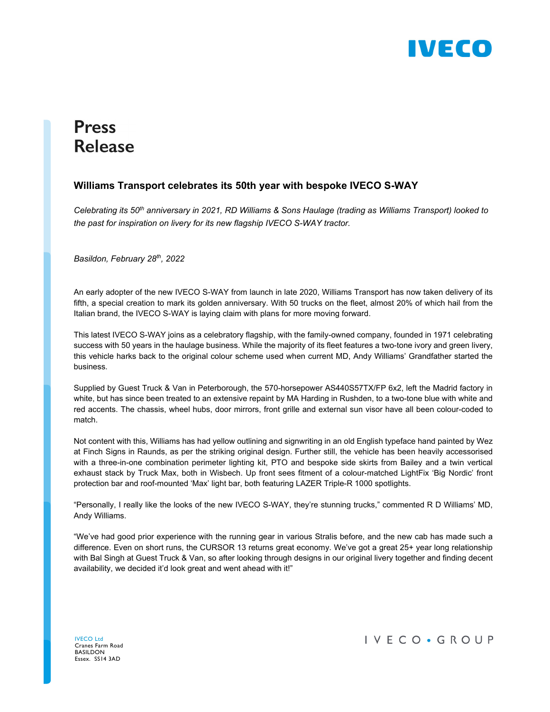

## **Press Release**

## **Williams Transport celebrates its 50th year with bespoke IVECO S-WAY**

*Celebrating its 50th anniversary in 2021, RD Williams & Sons Haulage (trading as Williams Transport) looked to the past for inspiration on livery for its new flagship IVECO S-WAY tractor.* 

*Basildon, February 28th, 2022* 

An early adopter of the new IVECO S-WAY from launch in late 2020, Williams Transport has now taken delivery of its fifth, a special creation to mark its golden anniversary. With 50 trucks on the fleet, almost 20% of which hail from the Italian brand, the IVECO S-WAY is laying claim with plans for more moving forward.

This latest IVECO S-WAY joins as a celebratory flagship, with the family-owned company, founded in 1971 celebrating success with 50 years in the haulage business. While the majority of its fleet features a two-tone ivory and green livery, this vehicle harks back to the original colour scheme used when current MD, Andy Williams' Grandfather started the business.

Supplied by Guest Truck & Van in Peterborough, the 570-horsepower AS440S57TX/FP 6x2, left the Madrid factory in white, but has since been treated to an extensive repaint by MA Harding in Rushden, to a two-tone blue with white and red accents. The chassis, wheel hubs, door mirrors, front grille and external sun visor have all been colour-coded to match.

Not content with this, Williams has had yellow outlining and signwriting in an old English typeface hand painted by Wez at Finch Signs in Raunds, as per the striking original design. Further still, the vehicle has been heavily accessorised with a three-in-one combination perimeter lighting kit, PTO and bespoke side skirts from Bailey and a twin vertical exhaust stack by Truck Max, both in Wisbech. Up front sees fitment of a colour-matched LightFix 'Big Nordic' front protection bar and roof-mounted 'Max' light bar, both featuring LAZER Triple-R 1000 spotlights.

"Personally, I really like the looks of the new IVECO S-WAY, they're stunning trucks," commented R D Williams' MD, Andy Williams.

"We've had good prior experience with the running gear in various Stralis before, and the new cab has made such a difference. Even on short runs, the CURSOR 13 returns great economy. We've got a great 25+ year long relationship with Bal Singh at Guest Truck & Van, so after looking through designs in our original livery together and finding decent availability, we decided it'd look great and went ahead with it!"

IVECO Ltd Cranes Farm Road BASILDON Essex. SS14 3AD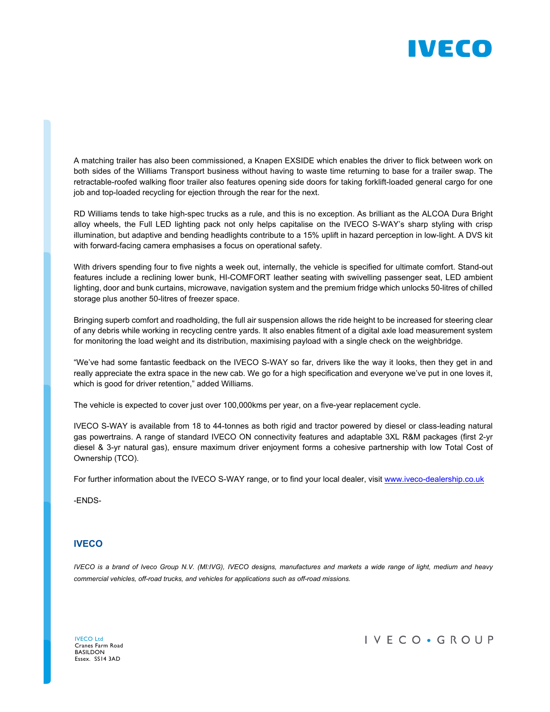

A matching trailer has also been commissioned, a Knapen EXSIDE which enables the driver to flick between work on both sides of the Williams Transport business without having to waste time returning to base for a trailer swap. The retractable-roofed walking floor trailer also features opening side doors for taking forklift-loaded general cargo for one job and top-loaded recycling for ejection through the rear for the next.

RD Williams tends to take high-spec trucks as a rule, and this is no exception. As brilliant as the ALCOA Dura Bright alloy wheels, the Full LED lighting pack not only helps capitalise on the IVECO S-WAY's sharp styling with crisp illumination, but adaptive and bending headlights contribute to a 15% uplift in hazard perception in low-light. A DVS kit with forward-facing camera emphasises a focus on operational safety.

With drivers spending four to five nights a week out, internally, the vehicle is specified for ultimate comfort. Stand-out features include a reclining lower bunk, HI-COMFORT leather seating with swivelling passenger seat, LED ambient lighting, door and bunk curtains, microwave, navigation system and the premium fridge which unlocks 50-litres of chilled storage plus another 50-litres of freezer space.

Bringing superb comfort and roadholding, the full air suspension allows the ride height to be increased for steering clear of any debris while working in recycling centre yards. It also enables fitment of a digital axle load measurement system for monitoring the load weight and its distribution, maximising payload with a single check on the weighbridge.

"We've had some fantastic feedback on the IVECO S-WAY so far, drivers like the way it looks, then they get in and really appreciate the extra space in the new cab. We go for a high specification and everyone we've put in one loves it, which is good for driver retention," added Williams.

The vehicle is expected to cover just over 100,000kms per year, on a five-year replacement cycle.

IVECO S-WAY is available from 18 to 44-tonnes as both rigid and tractor powered by diesel or class-leading natural gas powertrains. A range of standard IVECO ON connectivity features and adaptable 3XL R&M packages (first 2-yr diesel & 3-yr natural gas), ensure maximum driver enjoyment forms a cohesive partnership with low Total Cost of Ownership (TCO).

For further information about the IVECO S-WAY range, or to find your local dealer, visit www.iveco-dealership.co.uk

-ENDS-

## **IVECO**

*IVECO is a brand of Iveco Group N.V. (MI:IVG), IVECO designs, manufactures and markets a wide range of light, medium and heavy commercial vehicles, off-road trucks, and vehicles for applications such as off-road missions.* 

IVECO Ltd Cranes Farm Road BASILDON Essex. SS14 3AD

IVECO · GROUP